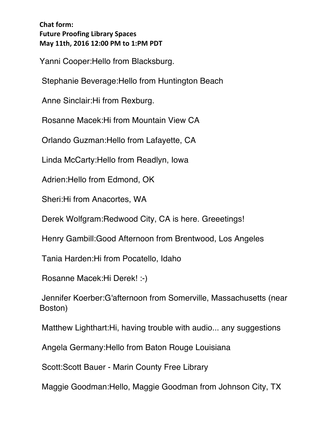Yanni Cooper:Hello from Blacksburg.

Stephanie Beverage:Hello from Huntington Beach

Anne Sinclair:Hi from Rexburg.

Rosanne Macek:Hi from Mountain View CA

Orlando Guzman:Hello from Lafayette, CA

Linda McCarty:Hello from Readlyn, Iowa

Adrien:Hello from Edmond, OK

Sheri:Hi from Anacortes, WA

Derek Wolfgram:Redwood City, CA is here. Greeetings!

Henry Gambill:Good Afternoon from Brentwood, Los Angeles

Tania Harden:Hi from Pocatello, Idaho

Rosanne Macek:Hi Derek! :-)

Jennifer Koerber:G'afternoon from Somerville, Massachusetts (near Boston)

Matthew Lighthart:Hi, having trouble with audio... any suggestions

Angela Germany:Hello from Baton Rouge Louisiana

Scott:Scott Bauer - Marin County Free Library

Maggie Goodman:Hello, Maggie Goodman from Johnson City, TX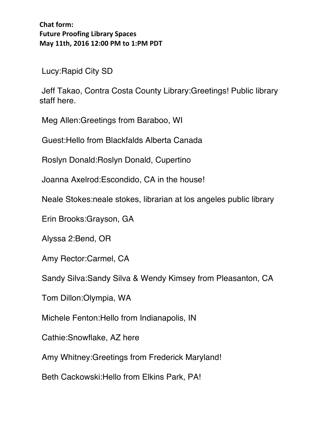Lucy:Rapid City SD

Jeff Takao, Contra Costa County Library:Greetings! Public library staff here.

Meg Allen:Greetings from Baraboo, WI

Guest:Hello from Blackfalds Alberta Canada

Roslyn Donald:Roslyn Donald, Cupertino

Joanna Axelrod:Escondido, CA in the house!

Neale Stokes:neale stokes, librarian at los angeles public library

Erin Brooks:Grayson, GA

Alyssa 2:Bend, OR

Amy Rector:Carmel, CA

Sandy Silva:Sandy Silva & Wendy Kimsey from Pleasanton, CA

Tom Dillon:Olympia, WA

Michele Fenton:Hello from Indianapolis, IN

Cathie:Snowflake, AZ here

Amy Whitney:Greetings from Frederick Maryland!

Beth Cackowski:Hello from Elkins Park, PA!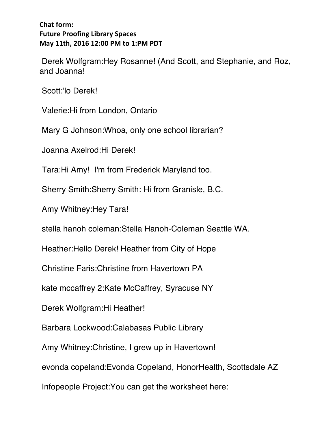Derek Wolfgram:Hey Rosanne! (And Scott, and Stephanie, and Roz, and Joanna!

Scott:'lo Derek!

Valerie:Hi from London, Ontario

Mary G Johnson:Whoa, only one school librarian?

Joanna Axelrod:Hi Derek!

Tara:Hi Amy! I'm from Frederick Maryland too.

Sherry Smith:Sherry Smith: Hi from Granisle, B.C.

Amy Whitney:Hey Tara!

stella hanoh coleman:Stella Hanoh-Coleman Seattle WA.

Heather:Hello Derek! Heather from City of Hope

Christine Faris:Christine from Havertown PA

kate mccaffrey 2:Kate McCaffrey, Syracuse NY

Derek Wolfgram:Hi Heather!

Barbara Lockwood:Calabasas Public Library

Amy Whitney:Christine, I grew up in Havertown!

evonda copeland:Evonda Copeland, HonorHealth, Scottsdale AZ

Infopeople Project:You can get the worksheet here: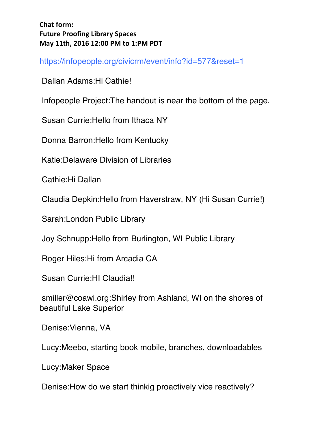https://infopeople.org/civicrm/event/info?id=577&reset=1

Dallan Adams:Hi Cathie!

Infopeople Project:The handout is near the bottom of the page.

Susan Currie:Hello from Ithaca NY

Donna Barron:Hello from Kentucky

Katie:Delaware Division of Libraries

Cathie:Hi Dallan

Claudia Depkin:Hello from Haverstraw, NY (Hi Susan Currie!)

Sarah:London Public Library

Joy Schnupp:Hello from Burlington, WI Public Library

Roger Hiles:Hi from Arcadia CA

Susan Currie:HI Claudia!!

smiller@coawi.org:Shirley from Ashland, WI on the shores of beautiful Lake Superior

Denise:Vienna, VA

Lucy:Meebo, starting book mobile, branches, downloadables

Lucy:Maker Space

Denise:How do we start thinkig proactively vice reactively?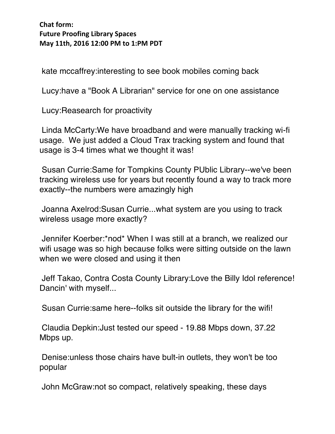kate mccaffrey:interesting to see book mobiles coming back

Lucy:have a "Book A Librarian" service for one on one assistance

Lucy:Reasearch for proactivity

Linda McCarty:We have broadband and were manually tracking wi-fi usage. We just added a Cloud Trax tracking system and found that usage is 3-4 times what we thought it was!

Susan Currie:Same for Tompkins County PUblic Library--we've been tracking wireless use for years but recently found a way to track more exactly--the numbers were amazingly high

Joanna Axelrod:Susan Currie...what system are you using to track wireless usage more exactly?

Jennifer Koerber:\*nod\* When I was still at a branch, we realized our wifi usage was so high because folks were sitting outside on the lawn when we were closed and using it then

Jeff Takao, Contra Costa County Library:Love the Billy Idol reference! Dancin' with myself...

Susan Currie:same here--folks sit outside the library for the wifi!

Claudia Depkin:Just tested our speed - 19.88 Mbps down, 37.22 Mbps up.

Denise:unless those chairs have bult-in outlets, they won't be too popular

John McGraw:not so compact, relatively speaking, these days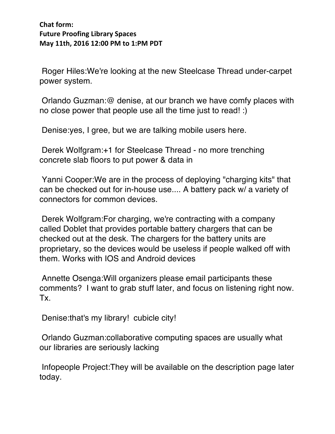Roger Hiles:We're looking at the new Steelcase Thread under-carpet power system.

Orlando Guzman:@ denise, at our branch we have comfy places with no close power that people use all the time just to read! :)

Denise:yes, I gree, but we are talking mobile users here.

Derek Wolfgram:+1 for Steelcase Thread - no more trenching concrete slab floors to put power & data in

Yanni Cooper:We are in the process of deploying "charging kits" that can be checked out for in-house use.... A battery pack w/ a variety of connectors for common devices.

Derek Wolfgram:For charging, we're contracting with a company called Doblet that provides portable battery chargers that can be checked out at the desk. The chargers for the battery units are proprietary, so the devices would be useless if people walked off with them. Works with IOS and Android devices

Annette Osenga:Will organizers please email participants these comments? I want to grab stuff later, and focus on listening right now. Tx.

Denise:that's my library! cubicle city!

Orlando Guzman:collaborative computing spaces are usually what our libraries are seriously lacking

Infopeople Project:They will be available on the description page later today.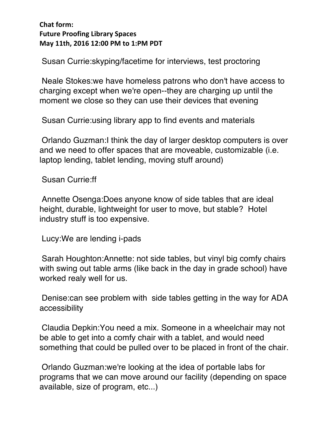Susan Currie:skyping/facetime for interviews, test proctoring

Neale Stokes:we have homeless patrons who don't have access to charging except when we're open--they are charging up until the moment we close so they can use their devices that evening

Susan Currie:using library app to find events and materials

Orlando Guzman:I think the day of larger desktop computers is over and we need to offer spaces that are moveable, customizable (i.e. laptop lending, tablet lending, moving stuff around)

Susan Currie:ff

Annette Osenga:Does anyone know of side tables that are ideal height, durable, lightweight for user to move, but stable? Hotel industry stuff is too expensive.

Lucy:We are lending i-pads

Sarah Houghton:Annette: not side tables, but vinyl big comfy chairs with swing out table arms (like back in the day in grade school) have worked realy well for us.

Denise:can see problem with side tables getting in the way for ADA accessibility

Claudia Depkin:You need a mix. Someone in a wheelchair may not be able to get into a comfy chair with a tablet, and would need something that could be pulled over to be placed in front of the chair.

Orlando Guzman:we're looking at the idea of portable labs for programs that we can move around our facility (depending on space available, size of program, etc...)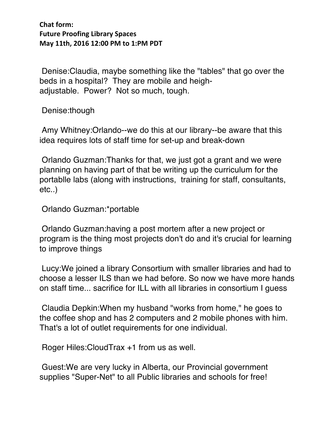Denise:Claudia, maybe something like the "tables" that go over the beds in a hospital? They are mobile and heighadjustable. Power? Not so much, tough.

Denise:though

Amy Whitney:Orlando--we do this at our library--be aware that this idea requires lots of staff time for set-up and break-down

Orlando Guzman:Thanks for that, we just got a grant and we were planning on having part of that be writing up the curriculum for the portablle labs (along with instructions, training for staff, consultants, etc..)

Orlando Guzman:\*portable

Orlando Guzman:having a post mortem after a new project or program is the thing most projects don't do and it's crucial for learning to improve things

Lucy:We joined a library Consortium with smaller libraries and had to choose a lesser ILS than we had before. So now we have more hands on staff time... sacrifice for ILL with all libraries in consortium I guess

Claudia Depkin:When my husband "works from home," he goes to the coffee shop and has 2 computers and 2 mobile phones with him. That's a lot of outlet requirements for one individual.

Roger Hiles:CloudTrax +1 from us as well.

Guest:We are very lucky in Alberta, our Provincial government supplies "Super-Net" to all Public libraries and schools for free!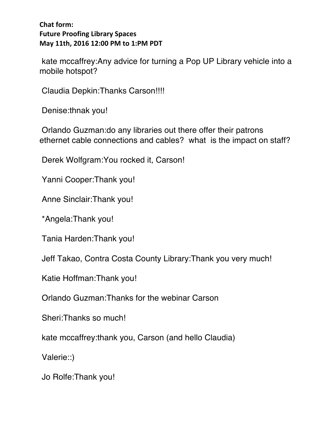kate mccaffrey:Any advice for turning a Pop UP Library vehicle into a mobile hotspot?

Claudia Depkin:Thanks Carson!!!!

Denise:thnak you!

Orlando Guzman:do any libraries out there offer their patrons ethernet cable connections and cables? what is the impact on staff?

Derek Wolfgram:You rocked it, Carson!

Yanni Cooper:Thank you!

Anne Sinclair:Thank you!

\*Angela:Thank you!

Tania Harden:Thank you!

Jeff Takao, Contra Costa County Library:Thank you very much!

Katie Hoffman:Thank you!

Orlando Guzman:Thanks for the webinar Carson

Sheri:Thanks so much!

kate mccaffrey:thank you, Carson (and hello Claudia)

Valerie::)

Jo Rolfe:Thank you!